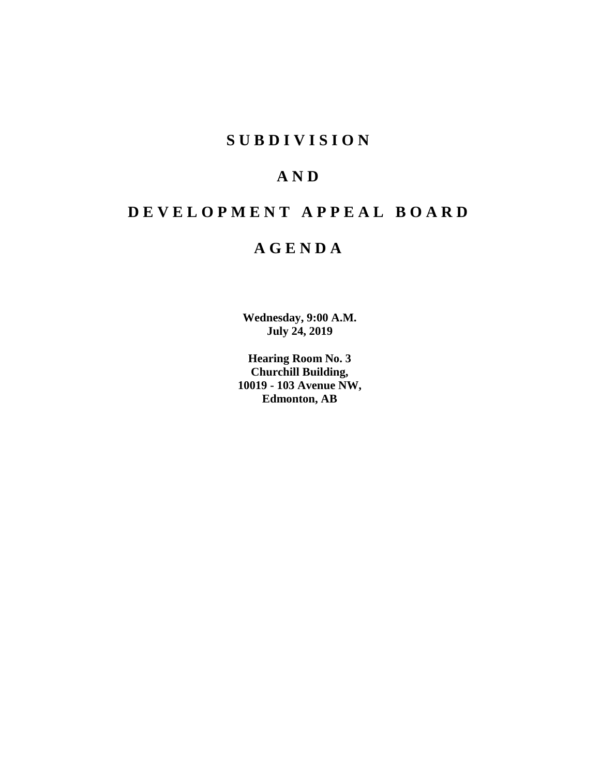# **SUBDIVISION**

# **AND**

# **DEVELOPMENT APPEAL BOARD**

# **AGENDA**

**Wednesday, 9:00 A.M. July 24, 2019**

**Hearing Room No. 3 Churchill Building, 10019 - 103 Avenue NW, Edmonton, AB**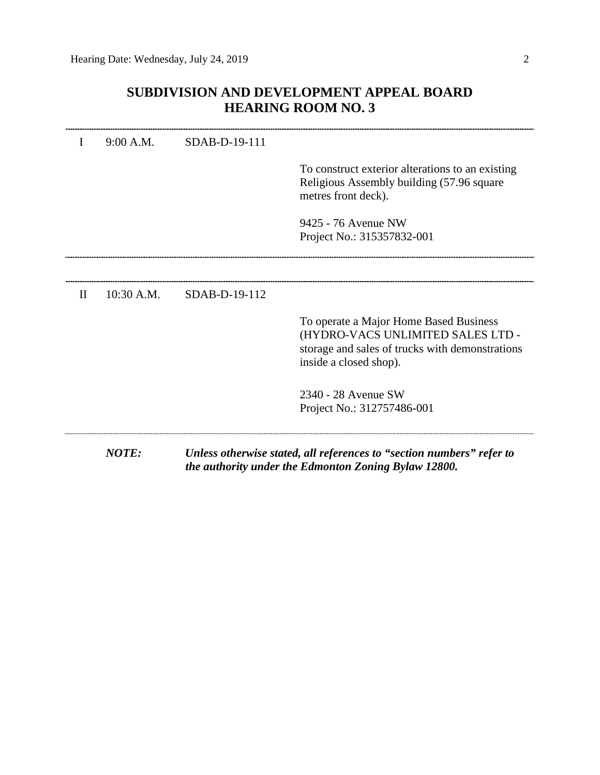# **SUBDIVISION AND DEVELOPMENT APPEAL BOARD HEARING ROOM NO. 3**

| I            | 9:00 A.M.    | SDAB-D-19-111 |                                                                                                                                                          |
|--------------|--------------|---------------|----------------------------------------------------------------------------------------------------------------------------------------------------------|
|              |              |               | To construct exterior alterations to an existing<br>Religious Assembly building (57.96 square<br>metres front deck).                                     |
|              |              |               | 9425 - 76 Avenue NW<br>Project No.: 315357832-001                                                                                                        |
|              |              |               |                                                                                                                                                          |
| $\mathbf{H}$ | 10:30 A.M.   | SDAB-D-19-112 |                                                                                                                                                          |
|              |              |               | To operate a Major Home Based Business<br>(HYDRO-VACS UNLIMITED SALES LTD -<br>storage and sales of trucks with demonstrations<br>inside a closed shop). |
|              |              |               | 2340 - 28 Avenue SW<br>Project No.: 312757486-001                                                                                                        |
|              | <b>NOTE:</b> |               | Unless otherwise stated, all references to "section numbers" refer to<br>the authority under the Edmonton Zoning Bylaw 12800.                            |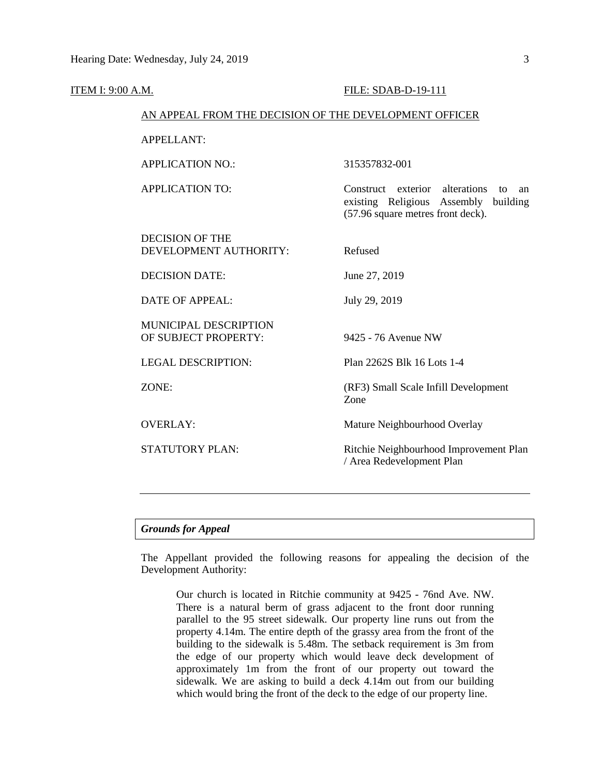| <u>ITEM I: 9:00 A.M.</u> |                                                        | FILE: SDAB-D-19-111                                                                                                           |  |  |  |
|--------------------------|--------------------------------------------------------|-------------------------------------------------------------------------------------------------------------------------------|--|--|--|
|                          | AN APPEAL FROM THE DECISION OF THE DEVELOPMENT OFFICER |                                                                                                                               |  |  |  |
|                          | <b>APPELLANT:</b>                                      |                                                                                                                               |  |  |  |
|                          | <b>APPLICATION NO.:</b>                                | 315357832-001                                                                                                                 |  |  |  |
|                          | <b>APPLICATION TO:</b>                                 | alterations<br>Construct exterior<br>to<br>an<br>existing Religious Assembly<br>building<br>(57.96 square metres front deck). |  |  |  |
|                          | <b>DECISION OF THE</b><br>DEVELOPMENT AUTHORITY:       | Refused                                                                                                                       |  |  |  |
|                          | <b>DECISION DATE:</b>                                  | June 27, 2019                                                                                                                 |  |  |  |
|                          | <b>DATE OF APPEAL:</b>                                 | July 29, 2019                                                                                                                 |  |  |  |
|                          | MUNICIPAL DESCRIPTION<br>OF SUBJECT PROPERTY:          | 9425 - 76 Avenue NW                                                                                                           |  |  |  |
|                          | <b>LEGAL DESCRIPTION:</b>                              | Plan 2262S Blk 16 Lots 1-4                                                                                                    |  |  |  |
|                          | ZONE:                                                  | (RF3) Small Scale Infill Development<br>Zone                                                                                  |  |  |  |
|                          | <b>OVERLAY:</b>                                        | Mature Neighbourhood Overlay                                                                                                  |  |  |  |
|                          | STATUTORY PLAN:                                        | Ritchie Neighbourhood Improvement Plan<br>/ Area Redevelopment Plan                                                           |  |  |  |
|                          |                                                        |                                                                                                                               |  |  |  |

# *Grounds for Appeal*

The Appellant provided the following reasons for appealing the decision of the Development Authority:

Our church is located in Ritchie community at 9425 - 76nd Ave. NW. There is a natural berm of grass adjacent to the front door running parallel to the 95 street sidewalk. Our property line runs out from the property 4.14m. The entire depth of the grassy area from the front of the building to the sidewalk is 5.48m. The setback requirement is 3m from the edge of our property which would leave deck development of approximately 1m from the front of our property out toward the sidewalk. We are asking to build a deck 4.14m out from our building which would bring the front of the deck to the edge of our property line.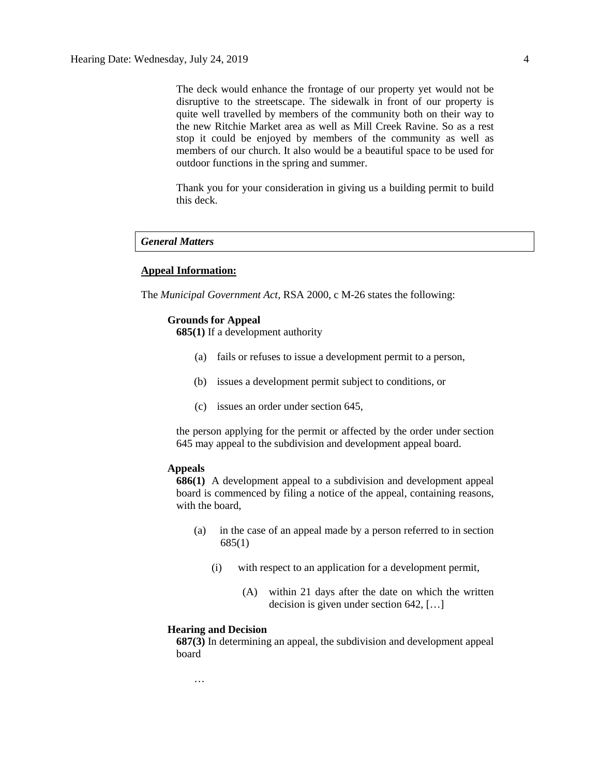The deck would enhance the frontage of our property yet would not be disruptive to the streetscape. The sidewalk in front of our property is quite well travelled by members of the community both on their way to the new Ritchie Market area as well as Mill Creek Ravine. So as a rest stop it could be enjoyed by members of the community as well as members of our church. It also would be a beautiful space to be used for outdoor functions in the spring and summer.

Thank you for your consideration in giving us a building permit to build this deck.

# *General Matters*

# **Appeal Information:**

The *Municipal Government Act*, RSA 2000, c M-26 states the following:

# **Grounds for Appeal**

**685(1)** If a development authority

- (a) fails or refuses to issue a development permit to a person,
- (b) issues a development permit subject to conditions, or
- (c) issues an order under section 645,

the person applying for the permit or affected by the order under section 645 may appeal to the subdivision and development appeal board.

# **Appeals**

**686(1)** A development appeal to a subdivision and development appeal board is commenced by filing a notice of the appeal, containing reasons, with the board,

- (a) in the case of an appeal made by a person referred to in section 685(1)
	- (i) with respect to an application for a development permit,
		- (A) within 21 days after the date on which the written decision is given under section 642, […]

## **Hearing and Decision**

**687(3)** In determining an appeal, the subdivision and development appeal board

…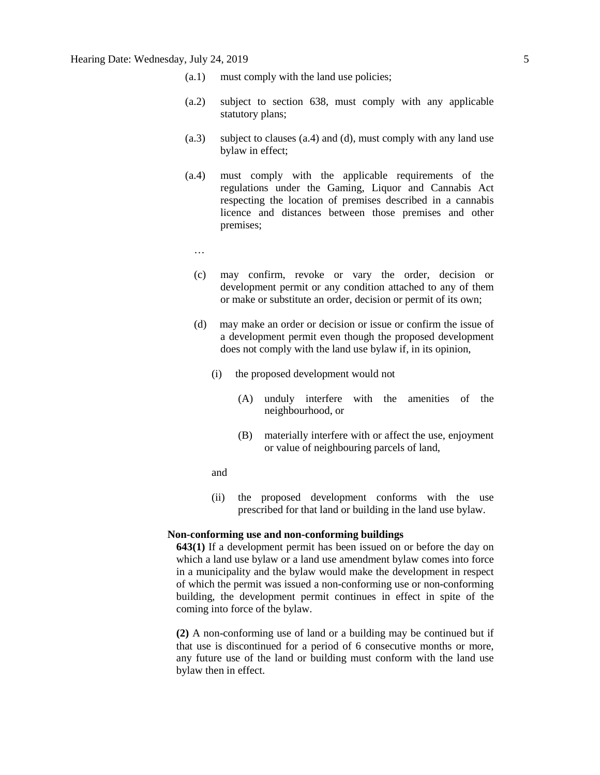- (a.1) must comply with the land use policies;
- (a.2) subject to section 638, must comply with any applicable statutory plans;
- (a.3) subject to clauses (a.4) and (d), must comply with any land use bylaw in effect;
- (a.4) must comply with the applicable requirements of the regulations under the Gaming, Liquor and Cannabis Act respecting the location of premises described in a cannabis licence and distances between those premises and other premises;
	- …
	- (c) may confirm, revoke or vary the order, decision or development permit or any condition attached to any of them or make or substitute an order, decision or permit of its own;
	- (d) may make an order or decision or issue or confirm the issue of a development permit even though the proposed development does not comply with the land use bylaw if, in its opinion,
		- (i) the proposed development would not
			- (A) unduly interfere with the amenities of the neighbourhood, or
			- (B) materially interfere with or affect the use, enjoyment or value of neighbouring parcels of land,
		- and
		- (ii) the proposed development conforms with the use prescribed for that land or building in the land use bylaw.

## **Non-conforming use and non-conforming buildings**

**643(1)** If a development permit has been issued on or before the day on which a land use bylaw or a land use amendment bylaw comes into force in a municipality and the bylaw would make the development in respect of which the permit was issued a non-conforming use or non-conforming building, the development permit continues in effect in spite of the coming into force of the bylaw.

**(2)** A non-conforming use of land or a building may be continued but if that use is discontinued for a period of 6 consecutive months or more, any future use of the land or building must conform with the land use bylaw then in effect.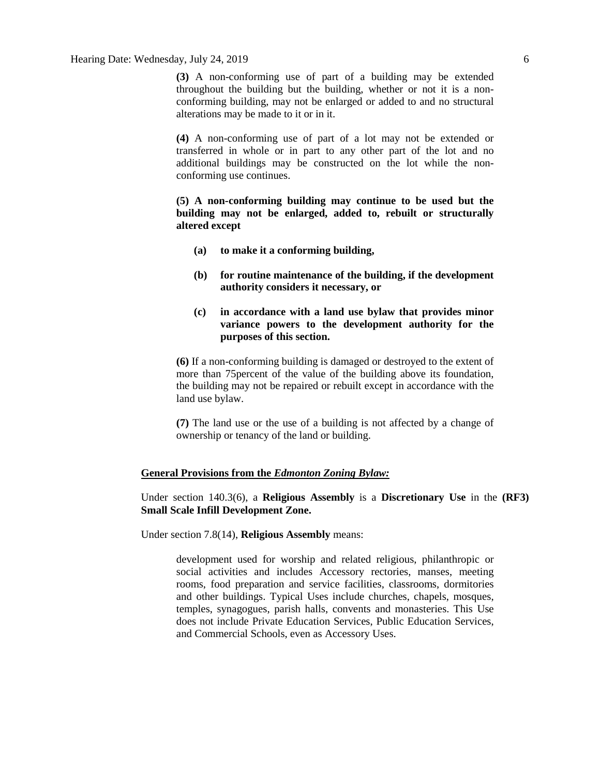**(3)** A non-conforming use of part of a building may be extended throughout the building but the building, whether or not it is a nonconforming building, may not be enlarged or added to and no structural alterations may be made to it or in it.

**(4)** A non-conforming use of part of a lot may not be extended or transferred in whole or in part to any other part of the lot and no additional buildings may be constructed on the lot while the nonconforming use continues.

**(5) A non-conforming building may continue to be used but the building may not be enlarged, added to, rebuilt or structurally altered except**

- **(a) to make it a conforming building,**
- **(b) for routine maintenance of the building, if the development authority considers it necessary, or**
- **(c) in accordance with a land use bylaw that provides minor variance powers to the development authority for the purposes of this section.**

**(6)** If a non-conforming building is damaged or destroyed to the extent of more than 75percent of the value of the building above its foundation, the building may not be repaired or rebuilt except in accordance with the land use bylaw.

**(7)** The land use or the use of a building is not affected by a change of ownership or tenancy of the land or building.

# **General Provisions from the** *Edmonton Zoning Bylaw:*

Under section 140.3(6), a **Religious Assembly** is a **Discretionary Use** in the **(RF3) Small Scale Infill Development Zone.**

Under section 7.8(14), **Religious Assembly** means:

development used for worship and related religious, philanthropic or social activities and includes Accessory rectories, manses, meeting rooms, food preparation and service facilities, classrooms, dormitories and other buildings. Typical Uses include churches, chapels, mosques, temples, synagogues, parish halls, convents and monasteries. This Use does not include Private Education Services, Public Education Services, and Commercial Schools, even as Accessory Uses.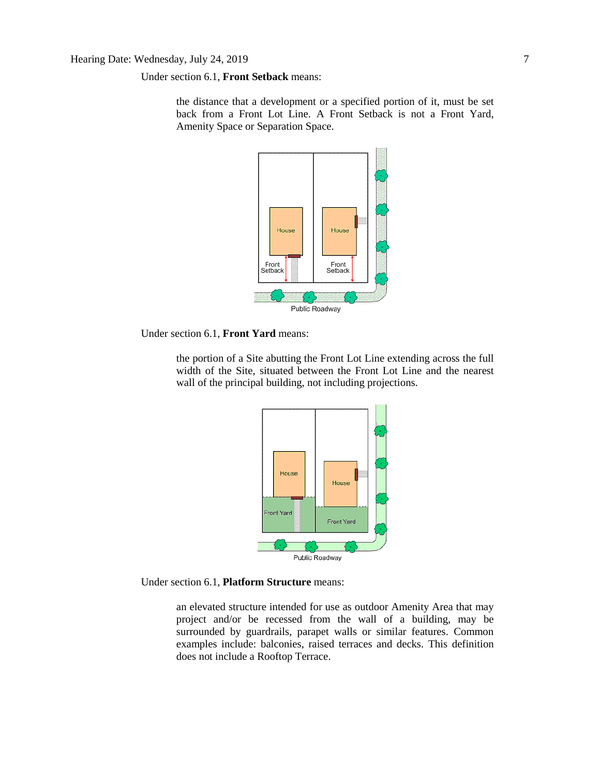Under section 6.1, **Front Setback** means:

the distance that a development or a specified portion of it, must be set back from a Front Lot Line. A Front Setback is not a Front Yard, Amenity Space or Separation Space.



Under section 6.1, **Front Yard** means:

the portion of a Site abutting the Front Lot Line extending across the full width of the Site, situated between the Front Lot Line and the nearest wall of the principal building, not including projections.



Under section 6.1, **Platform Structure** means:

an elevated structure intended for use as outdoor Amenity Area that may project and/or be recessed from the wall of a building, may be surrounded by guardrails, parapet walls or similar features. Common examples include: balconies, raised terraces and decks. This definition does not include a Rooftop Terrace.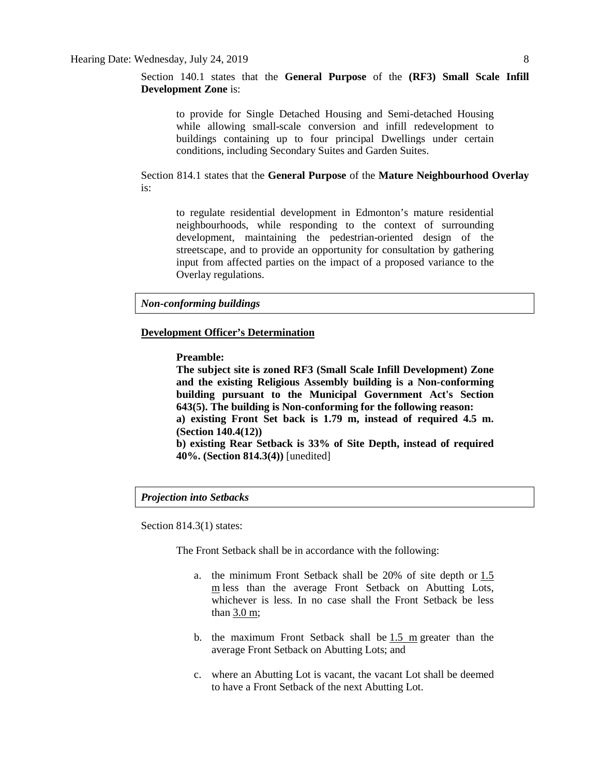Section 140.1 states that the **General Purpose** of the **(RF3) Small Scale Infill Development Zone** is:

to provide for Single Detached Housing and Semi-detached Housing while allowing small-scale conversion and infill redevelopment to buildings containing up to four principal Dwellings under certain conditions, including Secondary Suites and Garden Suites.

Section 814.1 states that the **General Purpose** of the **Mature Neighbourhood Overlay** is:

to regulate residential development in Edmonton's mature residential neighbourhoods, while responding to the context of surrounding development, maintaining the pedestrian-oriented design of the streetscape, and to provide an opportunity for consultation by gathering input from affected parties on the impact of a proposed variance to the Overlay regulations.

*Non-conforming buildings*

## **Development Officer's Determination**

**Preamble:**

**The subject site is zoned RF3 (Small Scale Infill Development) Zone and the existing Religious Assembly building is a Non-conforming building pursuant to the Municipal Government Act's Section 643(5). The building is Non-conforming for the following reason: a) existing Front Set back is 1.79 m, instead of required 4.5 m. (Section 140.4(12)) b) existing Rear Setback is 33% of Site Depth, instead of required** 

**40%. (Section 814.3(4))** [unedited]

## *Projection into Setbacks*

Section 814.3(1) states:

The Front Setback shall be in accordance with the following:

- a. the minimum Front Setback shall be 20% of site depth or [1.5](javascript:void(0);)  [m](javascript:void(0);) less than the average Front Setback on Abutting Lots, whichever is less. In no case shall the Front Setback be less than [3.0 m;](javascript:void(0);)
- b. the maximum Front Setback shall be [1.5 m](javascript:void(0);) greater than the average Front Setback on Abutting Lots; and
- c. where an Abutting Lot is vacant, the vacant Lot shall be deemed to have a Front Setback of the next Abutting Lot.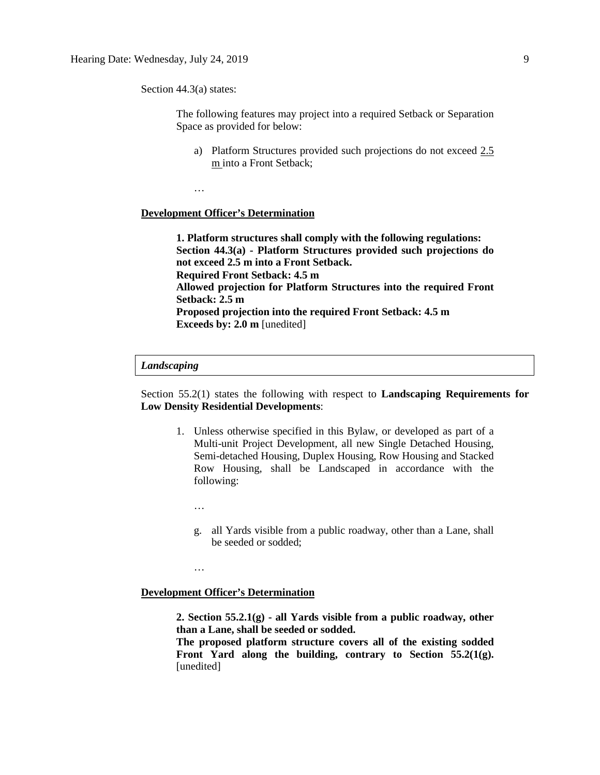Section 44.3(a) states:

The following features may project into a required Setback or Separation Space as provided for below:

a) Platform Structures provided such projections do not exceed 2.5 m into a Front Setback;

…

# **Development Officer's Determination**

**1. Platform structures shall comply with the following regulations: Section 44.3(a) - Platform Structures provided such projections do not exceed 2.5 m into a Front Setback. Required Front Setback: 4.5 m Allowed projection for Platform Structures into the required Front Setback: 2.5 m Proposed projection into the required Front Setback: 4.5 m Exceeds by: 2.0 m** [unedited]

# *Landscaping*

Section 55.2(1) states the following with respect to **Landscaping Requirements for Low Density Residential Developments**:

- 1. Unless otherwise specified in this Bylaw, or developed as part of a Multi-unit Project Development, all new Single Detached Housing, Semi-detached Housing, Duplex Housing, Row Housing and Stacked Row Housing, shall be Landscaped in accordance with the following:
	- …

…

g. all Yards visible from a public roadway, other than a Lane, shall be seeded or sodded;

**Development Officer's Determination**

**2. Section 55.2.1(g) - all Yards visible from a public roadway, other than a Lane, shall be seeded or sodded.**

**The proposed platform structure covers all of the existing sodded Front Yard along the building, contrary to Section 55.2(1(g).** [unedited]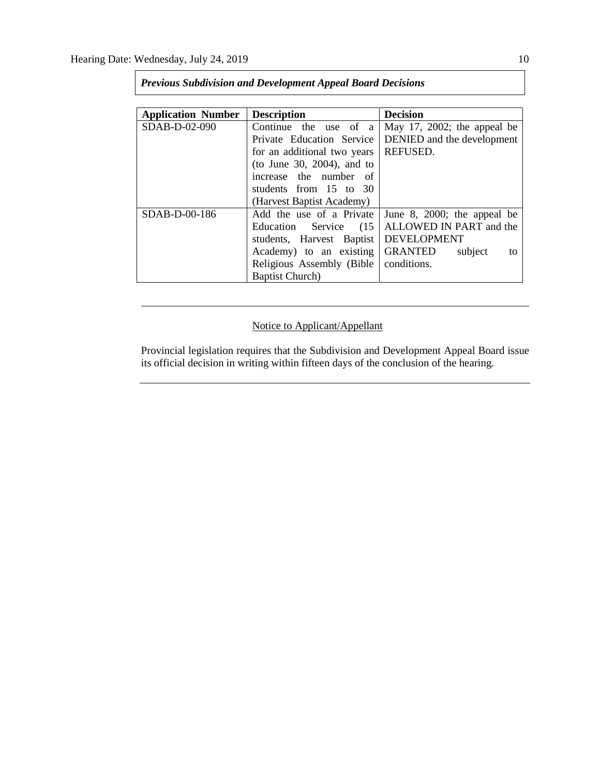| <b>Application Number</b> | <b>Description</b>          | <b>Decision</b>                 |
|---------------------------|-----------------------------|---------------------------------|
| SDAB-D-02-090             | Continue the use of a       | May 17, 2002; the appeal be     |
|                           | Private Education Service   | DENIED and the development      |
|                           | for an additional two years | <b>REFUSED.</b>                 |
|                           | (to June 30, 2004), and to  |                                 |
|                           | increase the number of      |                                 |
|                           | students from 15 to 30      |                                 |
|                           | (Harvest Baptist Academy)   |                                 |
| $SDAB-D-00-186$           | Add the use of a Private    | June 8, 2000; the appeal be     |
|                           | Education Service<br>(15)   | ALLOWED IN PART and the         |
| students, Harvest Baptist |                             | <b>DEVELOPMENT</b>              |
|                           | Academy) to an existing     | <b>GRANTED</b><br>subject<br>to |
|                           | Religious Assembly (Bible)  | conditions.                     |
|                           | <b>Baptist Church</b> )     |                                 |

*Previous Subdivision and Development Appeal Board Decisions*

# Notice to Applicant/Appellant

Provincial legislation requires that the Subdivision and Development Appeal Board issue its official decision in writing within fifteen days of the conclusion of the hearing.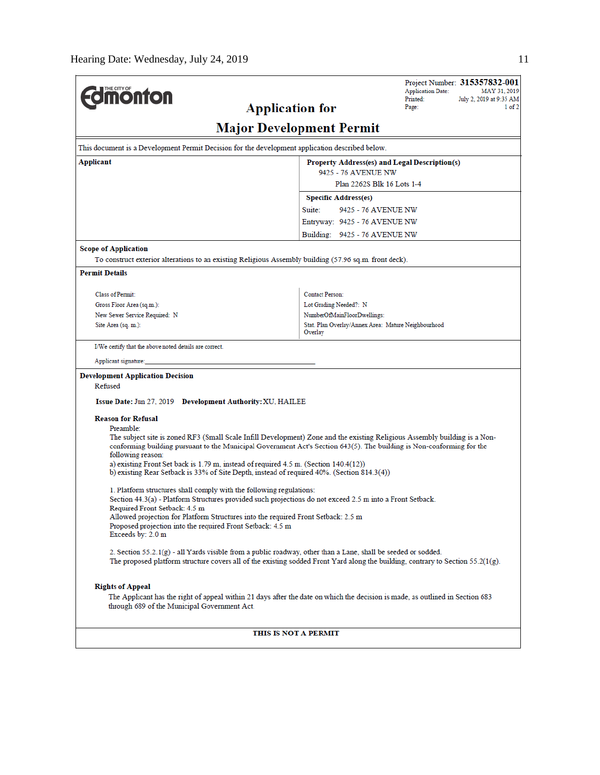|                                                                                                                                                                                                                                                     |                                                                                                                 | Project Number: 315357832-001<br><b>Application Date:</b><br>MAY 31, 2019 |  |  |  |
|-----------------------------------------------------------------------------------------------------------------------------------------------------------------------------------------------------------------------------------------------------|-----------------------------------------------------------------------------------------------------------------|---------------------------------------------------------------------------|--|--|--|
| <b>Monton</b><br><b>Application for</b>                                                                                                                                                                                                             |                                                                                                                 | Printed:<br>July 2, 2019 at 9:35 AM<br>Page:<br>$1$ of $2$                |  |  |  |
|                                                                                                                                                                                                                                                     | <b>Major Development Permit</b>                                                                                 |                                                                           |  |  |  |
| This document is a Development Permit Decision for the development application described below.                                                                                                                                                     |                                                                                                                 |                                                                           |  |  |  |
| Applicant<br>Property Address(es) and Legal Description(s)                                                                                                                                                                                          |                                                                                                                 |                                                                           |  |  |  |
| 9425 - 76 AVENUE NW<br>Plan 2262S Blk 16 Lots 1-4                                                                                                                                                                                                   |                                                                                                                 |                                                                           |  |  |  |
|                                                                                                                                                                                                                                                     | <b>Specific Address(es)</b>                                                                                     |                                                                           |  |  |  |
|                                                                                                                                                                                                                                                     | Suite:<br>9425 - 76 AVENUE NW                                                                                   |                                                                           |  |  |  |
|                                                                                                                                                                                                                                                     | Entryway: 9425 - 76 AVENUE NW                                                                                   |                                                                           |  |  |  |
|                                                                                                                                                                                                                                                     | Building: 9425 - 76 AVENUE NW                                                                                   |                                                                           |  |  |  |
| <b>Scope of Application</b>                                                                                                                                                                                                                         |                                                                                                                 |                                                                           |  |  |  |
| To construct exterior alterations to an existing Religious Assembly building (57.96 sq.m. front deck).                                                                                                                                              |                                                                                                                 |                                                                           |  |  |  |
| <b>Permit Details</b>                                                                                                                                                                                                                               |                                                                                                                 |                                                                           |  |  |  |
| <b>Class of Permit:</b>                                                                                                                                                                                                                             | <b>Contact Person:</b>                                                                                          |                                                                           |  |  |  |
| Gross Floor Area (sq.m.):                                                                                                                                                                                                                           | Lot Grading Needed?: N                                                                                          |                                                                           |  |  |  |
| New Sewer Service Required: N                                                                                                                                                                                                                       | NumberOfMainFloorDwellings:                                                                                     |                                                                           |  |  |  |
| Site Area (sq. m.):                                                                                                                                                                                                                                 | Stat. Plan Overlay/Annex Area: Mature Neighbourhood<br>Overlay                                                  |                                                                           |  |  |  |
| I/We certify that the above noted details are correct.                                                                                                                                                                                              |                                                                                                                 |                                                                           |  |  |  |
| Applicant signature:                                                                                                                                                                                                                                |                                                                                                                 |                                                                           |  |  |  |
| <b>Development Application Decision</b>                                                                                                                                                                                                             |                                                                                                                 |                                                                           |  |  |  |
| Refused                                                                                                                                                                                                                                             |                                                                                                                 |                                                                           |  |  |  |
| Issue Date: Jun 27, 2019 Development Authority: XU, HAILEE                                                                                                                                                                                          |                                                                                                                 |                                                                           |  |  |  |
| <b>Reason for Refusal</b>                                                                                                                                                                                                                           |                                                                                                                 |                                                                           |  |  |  |
| Preamble:                                                                                                                                                                                                                                           |                                                                                                                 |                                                                           |  |  |  |
| The subject site is zoned RF3 (Small Scale Infill Development) Zone and the existing Religious Assembly building is a Non-<br>conforming building pursuant to the Municipal Government Act's Section 643(5). The building is Non-conforming for the |                                                                                                                 |                                                                           |  |  |  |
| following reason:                                                                                                                                                                                                                                   |                                                                                                                 |                                                                           |  |  |  |
| a) existing Front Set back is $1.79$ m, instead of required $4.5$ m. (Section $140.4(12)$ )<br>b) existing Rear Setback is 33% of Site Depth, instead of required 40%. (Section 814.3(4))                                                           |                                                                                                                 |                                                                           |  |  |  |
|                                                                                                                                                                                                                                                     |                                                                                                                 |                                                                           |  |  |  |
| 1. Platform structures shall comply with the following regulations:                                                                                                                                                                                 |                                                                                                                 |                                                                           |  |  |  |
| Section 44.3(a) - Platform Structures provided such projections do not exceed 2.5 m into a Front Setback.<br>Required Front Setback: 4.5 m                                                                                                          |                                                                                                                 |                                                                           |  |  |  |
| Allowed projection for Platform Structures into the required Front Setback: 2.5 m                                                                                                                                                                   |                                                                                                                 |                                                                           |  |  |  |
| Proposed projection into the required Front Setback: 4.5 m<br>Exceeds by: 2.0 m                                                                                                                                                                     |                                                                                                                 |                                                                           |  |  |  |
|                                                                                                                                                                                                                                                     | 2. Section $55.2.1(g)$ - all Yards visible from a public roadway, other than a Lane, shall be seeded or sodded. |                                                                           |  |  |  |
| The proposed platform structure covers all of the existing sodded Front Yard along the building, contrary to Section 55.2( $1(g)$ ).                                                                                                                |                                                                                                                 |                                                                           |  |  |  |
| <b>Rights of Appeal</b>                                                                                                                                                                                                                             |                                                                                                                 |                                                                           |  |  |  |
| The Applicant has the right of appeal within 21 days after the date on which the decision is made, as outlined in Section 683<br>through 689 of the Municipal Government Act.                                                                       |                                                                                                                 |                                                                           |  |  |  |
| THIS IS NOT A PERMIT                                                                                                                                                                                                                                |                                                                                                                 |                                                                           |  |  |  |
|                                                                                                                                                                                                                                                     |                                                                                                                 |                                                                           |  |  |  |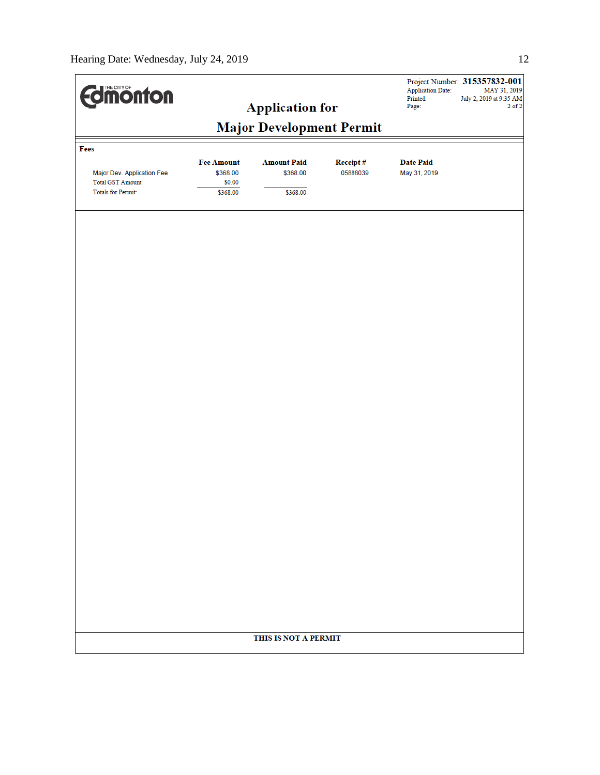| <b>Edimonton</b>                                       |                                         | <b>Application for</b>         |                      | <b>Application Date:</b><br>Printed:<br>Page: | Project Number: 315357832-001<br>MAY 31, 2019<br>July 2, 2019 at 9:35 AM<br>$2$ of $2$ |  |  |
|--------------------------------------------------------|-----------------------------------------|--------------------------------|----------------------|-----------------------------------------------|----------------------------------------------------------------------------------------|--|--|
|                                                        |                                         |                                |                      |                                               |                                                                                        |  |  |
| Fees                                                   | <b>Major Development Permit</b>         |                                |                      |                                               |                                                                                        |  |  |
| Major Dev. Application Fee<br><b>Total GST Amount:</b> | <b>Fee Amount</b><br>\$368.00<br>\$0.00 | <b>Amount Paid</b><br>\$368.00 | Receipt#<br>05888039 | <b>Date Paid</b><br>May 31, 2019              |                                                                                        |  |  |
| Totals for Permit:                                     | \$368.00                                | \$368.00                       |                      |                                               |                                                                                        |  |  |
|                                                        |                                         |                                |                      |                                               |                                                                                        |  |  |
|                                                        |                                         |                                |                      |                                               |                                                                                        |  |  |
|                                                        |                                         |                                |                      |                                               |                                                                                        |  |  |
|                                                        |                                         |                                |                      |                                               |                                                                                        |  |  |
|                                                        |                                         |                                |                      |                                               |                                                                                        |  |  |
|                                                        |                                         |                                |                      |                                               |                                                                                        |  |  |
|                                                        |                                         |                                |                      |                                               |                                                                                        |  |  |
|                                                        |                                         |                                |                      |                                               |                                                                                        |  |  |
|                                                        |                                         |                                |                      |                                               |                                                                                        |  |  |
|                                                        |                                         |                                |                      |                                               |                                                                                        |  |  |
|                                                        |                                         |                                |                      |                                               |                                                                                        |  |  |
|                                                        |                                         |                                |                      |                                               |                                                                                        |  |  |
|                                                        |                                         |                                |                      |                                               |                                                                                        |  |  |
|                                                        |                                         |                                |                      |                                               |                                                                                        |  |  |
|                                                        |                                         |                                |                      |                                               |                                                                                        |  |  |
|                                                        |                                         |                                |                      |                                               |                                                                                        |  |  |
|                                                        |                                         |                                |                      |                                               |                                                                                        |  |  |
|                                                        | THIS IS NOT A PERMIT                    |                                |                      |                                               |                                                                                        |  |  |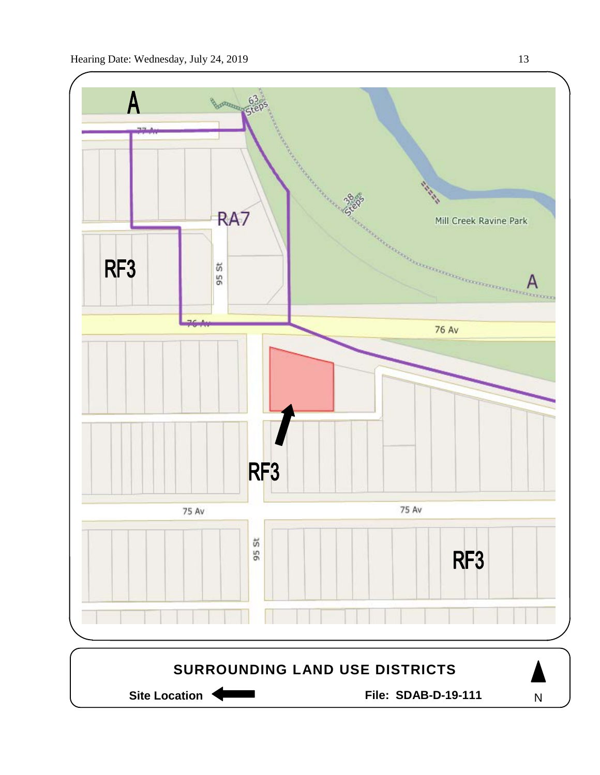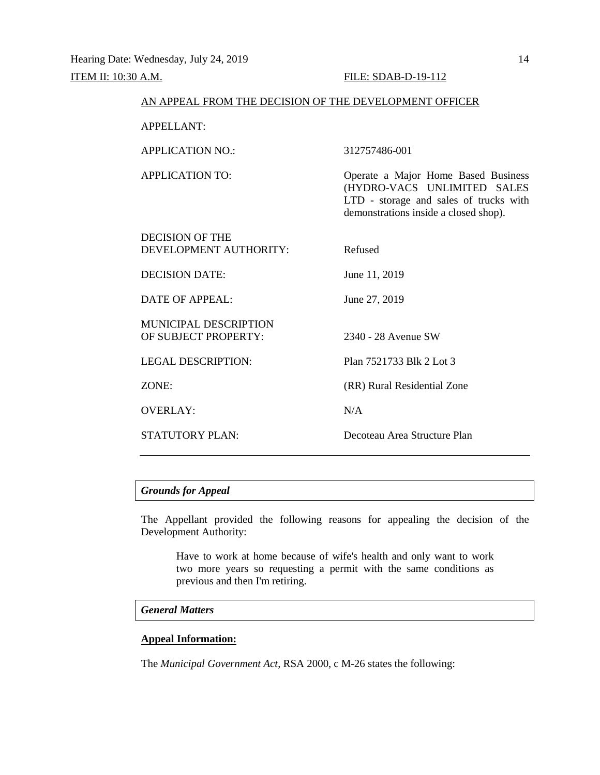# **ITEM II:** 10:30 A.M. **FILE: SDAB-D-19-112**

| AN APPEAL FROM THE DECISION OF THE DEVELOPMENT OFFICER |                                                                                                                                                       |  |  |  |
|--------------------------------------------------------|-------------------------------------------------------------------------------------------------------------------------------------------------------|--|--|--|
| <b>APPELLANT:</b>                                      |                                                                                                                                                       |  |  |  |
| <b>APPLICATION NO.:</b>                                | 312757486-001                                                                                                                                         |  |  |  |
| <b>APPLICATION TO:</b>                                 | Operate a Major Home Based Business<br>(HYDRO-VACS UNLIMITED SALES<br>LTD - storage and sales of trucks with<br>demonstrations inside a closed shop). |  |  |  |
| DECISION OF THE<br>DEVELOPMENT AUTHORITY:              | Refused                                                                                                                                               |  |  |  |
| DECISION DATE:                                         | June 11, 2019                                                                                                                                         |  |  |  |
| <b>DATE OF APPEAL:</b>                                 | June 27, 2019                                                                                                                                         |  |  |  |
| <b>MUNICIPAL DESCRIPTION</b><br>OF SUBJECT PROPERTY:   | 2340 - 28 Avenue SW                                                                                                                                   |  |  |  |
| <b>LEGAL DESCRIPTION:</b>                              | Plan 7521733 Blk 2 Lot 3                                                                                                                              |  |  |  |
| ZONE:                                                  | (RR) Rural Residential Zone                                                                                                                           |  |  |  |
| <b>OVERLAY:</b>                                        | N/A                                                                                                                                                   |  |  |  |
| <b>STATUTORY PLAN:</b>                                 | Decoteau Area Structure Plan                                                                                                                          |  |  |  |

# *Grounds for Appeal*

The Appellant provided the following reasons for appealing the decision of the Development Authority:

Have to work at home because of wife's health and only want to work two more years so requesting a permit with the same conditions as previous and then I'm retiring.

# *General Matters*

# **Appeal Information:**

The *Municipal Government Act*, RSA 2000, c M-26 states the following: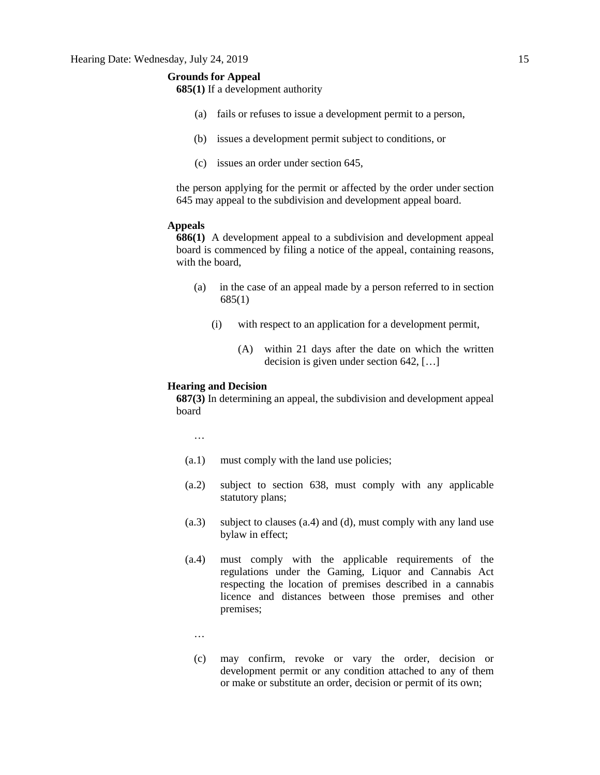# **Grounds for Appeal**

**685(1)** If a development authority

- (a) fails or refuses to issue a development permit to a person,
- (b) issues a development permit subject to conditions, or
- (c) issues an order under section 645,

the person applying for the permit or affected by the order under section 645 may appeal to the subdivision and development appeal board.

# **Appeals**

**686(1)** A development appeal to a subdivision and development appeal board is commenced by filing a notice of the appeal, containing reasons, with the board,

- (a) in the case of an appeal made by a person referred to in section 685(1)
	- (i) with respect to an application for a development permit,
		- (A) within 21 days after the date on which the written decision is given under section 642, […]

## **Hearing and Decision**

**687(3)** In determining an appeal, the subdivision and development appeal board

…

- (a.1) must comply with the land use policies;
- (a.2) subject to section 638, must comply with any applicable statutory plans;
- (a.3) subject to clauses (a.4) and (d), must comply with any land use bylaw in effect;
- (a.4) must comply with the applicable requirements of the regulations under the Gaming, Liquor and Cannabis Act respecting the location of premises described in a cannabis licence and distances between those premises and other premises;
	- …
	- (c) may confirm, revoke or vary the order, decision or development permit or any condition attached to any of them or make or substitute an order, decision or permit of its own;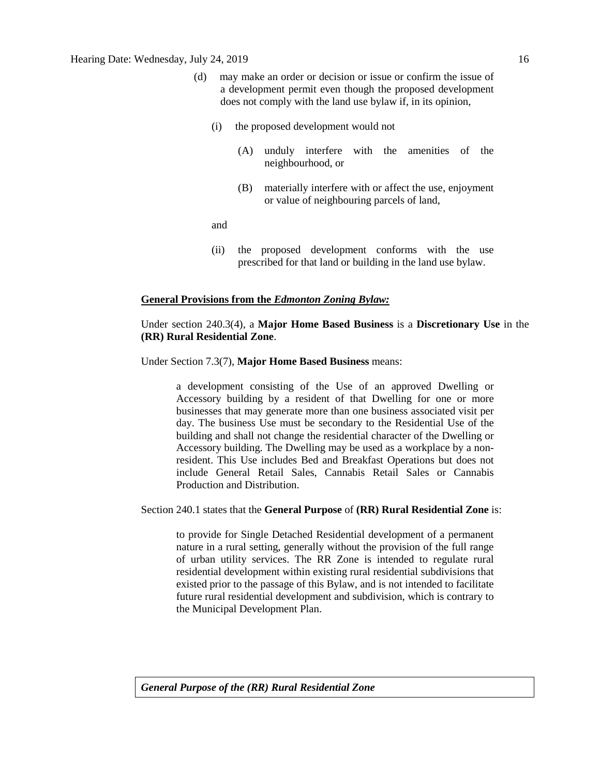- (d) may make an order or decision or issue or confirm the issue of a development permit even though the proposed development does not comply with the land use bylaw if, in its opinion,
	- (i) the proposed development would not
		- (A) unduly interfere with the amenities of the neighbourhood, or
		- (B) materially interfere with or affect the use, enjoyment or value of neighbouring parcels of land,

and

(ii) the proposed development conforms with the use prescribed for that land or building in the land use bylaw.

### **General Provisions from the** *Edmonton Zoning Bylaw:*

# Under section 240.3(4), a **Major Home Based Business** is a **Discretionary Use** in the **(RR) Rural Residential Zone**.

Under Section 7.3(7), **Major Home Based Business** means:

a development consisting of the Use of an approved Dwelling or Accessory building by a resident of that Dwelling for one or more businesses that may generate more than one business associated visit per day. The business Use must be secondary to the Residential Use of the building and shall not change the residential character of the Dwelling or Accessory building. The Dwelling may be used as a workplace by a nonresident. This Use includes Bed and Breakfast Operations but does not include General Retail Sales, Cannabis Retail Sales or Cannabis Production and Distribution.

Section 240.1 states that the **General Purpose** of **(RR) Rural Residential Zone** is:

to provide for Single Detached Residential development of a permanent nature in a rural setting, generally without the provision of the full range of urban utility services. The RR Zone is intended to regulate rural residential development within existing rural residential subdivisions that existed prior to the passage of this Bylaw, and is not intended to facilitate future rural residential development and subdivision, which is contrary to the Municipal Development Plan.

*General Purpose of the (RR) Rural Residential Zone*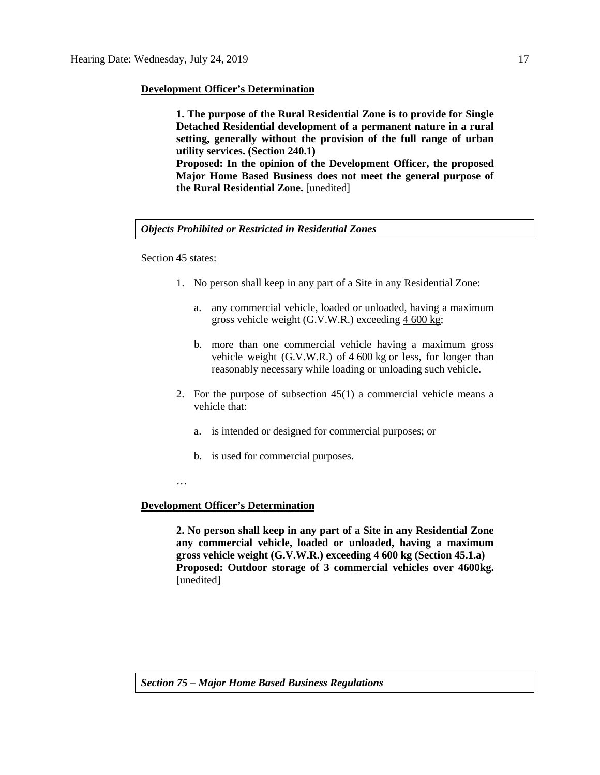## **Development Officer's Determination**

**1. The purpose of the Rural Residential Zone is to provide for Single Detached Residential development of a permanent nature in a rural setting, generally without the provision of the full range of urban utility services. (Section 240.1) Proposed: In the opinion of the Development Officer, the proposed Major Home Based Business does not meet the general purpose of** 

*Objects Prohibited or Restricted in Residential Zones*

**the Rural Residential Zone.** [unedited]

Section 45 states:

- 1. No person shall keep in any part of a Site in any Residential Zone:
	- a. any commercial vehicle, loaded or unloaded, having a maximum gross vehicle weight (G.V.W.R.) exceeding 4 [600](javascript:void(0);) kg;
	- b. more than one commercial vehicle having a maximum gross vehicle weight (G.V.W.R.) of  $4600 \text{ kg}$  $4600 \text{ kg}$  $4600 \text{ kg}$  or less, for longer than reasonably necessary while loading or unloading such vehicle.
- 2. For the purpose of subsection 45(1) a commercial vehicle means a vehicle that:
	- a. is intended or designed for commercial purposes; or
	- b. is used for commercial purposes.

…

# **Development Officer's Determination**

**2. No person shall keep in any part of a Site in any Residential Zone any commercial vehicle, loaded or unloaded, having a maximum gross vehicle weight (G.V.W.R.) exceeding 4 600 kg (Section 45.1.a) Proposed: Outdoor storage of 3 commercial vehicles over 4600kg.**  [unedited]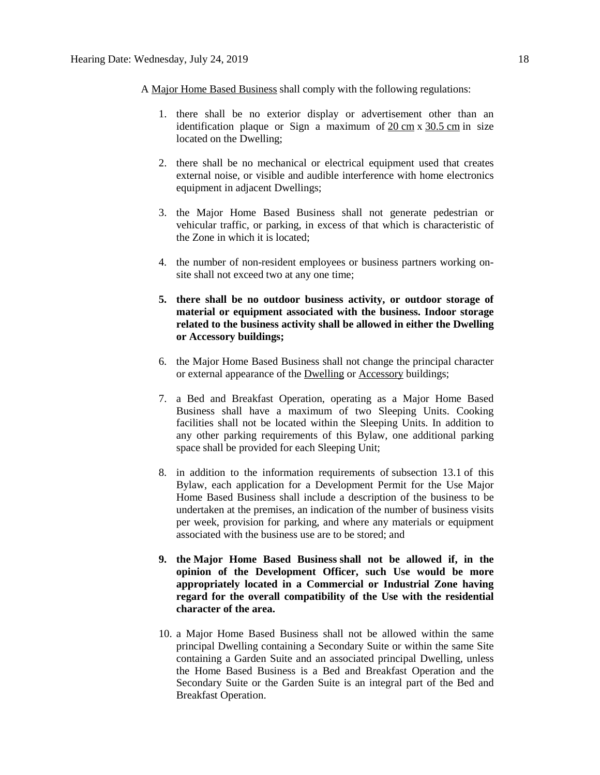A [Major Home Based Business](javascript:void(0);) shall comply with the following regulations:

- 1. there shall be no exterior display or advertisement other than an identification plaque or Sign a maximum of 20 [cm](javascript:void(0);) x [30.5](javascript:void(0);) cm in size located on the Dwelling;
- 2. there shall be no mechanical or electrical equipment used that creates external noise, or visible and audible interference with home electronics equipment in adjacent Dwellings;
- 3. the Major Home Based Business shall not generate pedestrian or vehicular traffic, or parking, in excess of that which is characteristic of the Zone in which it is located;
- 4. the number of non-resident employees or business partners working onsite shall not exceed two at any one time;
- **5. there shall be no outdoor business activity, or outdoor storage of material or equipment associated with the business. Indoor storage related to the business activity shall be allowed in either the Dwelling or Accessory buildings;**
- 6. the Major Home Based Business shall not change the principal character or external appearance of the [Dwelling](javascript:void(0);) or [Accessory](javascript:void(0);) buildings;
- 7. a Bed and Breakfast Operation, operating as a Major Home Based Business shall have a maximum of two Sleeping Units. Cooking facilities shall not be located within the Sleeping Units. In addition to any other parking requirements of this Bylaw, one additional parking space shall be provided for each Sleeping Unit;
- 8. in addition to the information requirements of [subsection 13.1](https://webdocs.edmonton.ca/InfraPlan/zoningbylaw/ZoningBylaw/Part1/Administrative/13__Development_Permit_Application.htm) of this Bylaw, each application for a Development Permit for the Use Major Home Based Business shall include a description of the business to be undertaken at the premises, an indication of the number of business visits per week, provision for parking, and where any materials or equipment associated with the business use are to be stored; and
- **9. the [Major Home Based Business](javascript:void(0);) shall not be allowed if, in the opinion of the Development Officer, such Use would be more appropriately located in a Commercial or Industrial Zone having regard for the overall compatibility of the Use with the residential character of the area.**
- 10. a Major Home Based Business shall not be allowed within the same principal Dwelling containing a Secondary Suite or within the same Site containing a Garden Suite and an associated principal Dwelling, unless the Home Based Business is a Bed and Breakfast Operation and the Secondary Suite or the Garden Suite is an integral part of the Bed and Breakfast Operation.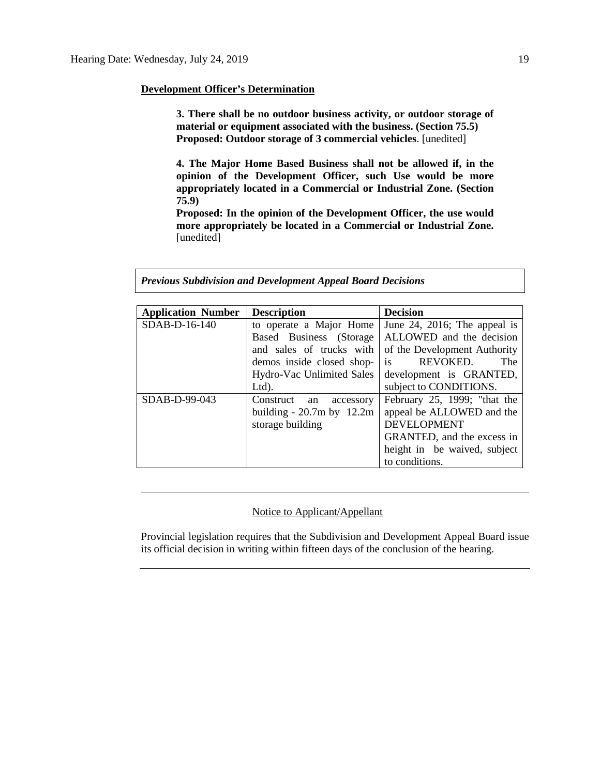# **Development Officer's Determination**

**3. There shall be no outdoor business activity, or outdoor storage of material or equipment associated with the business. (Section 75.5) Proposed: Outdoor storage of 3 commercial vehicles**. [unedited]

**4. The Major Home Based Business shall not be allowed if, in the opinion of the Development Officer, such Use would be more appropriately located in a Commercial or Industrial Zone. (Section 75.9)**

**Proposed: In the opinion of the Development Officer, the use would more appropriately be located in a Commercial or Industrial Zone.** [unedited]

### *Previous Subdivision and Development Appeal Board Decisions*

| <b>Application Number</b> | <b>Description</b>           | <b>Decision</b>              |
|---------------------------|------------------------------|------------------------------|
| SDAB-D-16-140             | to operate a Major Home      | June 24, 2016; The appeal is |
|                           | Based Business (Storage      | ALLOWED and the decision     |
|                           | and sales of trucks with     | of the Development Authority |
|                           | demos inside closed shop-    | is<br>REVOKED.<br>The        |
|                           | Hydro-Vac Unlimited Sales    | development is GRANTED,      |
|                           | Ltd).                        | subject to CONDITIONS.       |
| SDAB-D-99-043             | Construct<br>accessory<br>an | February 25, 1999; "that the |
|                           | building - $20.7m$ by 12.2m  | appeal be ALLOWED and the    |
|                           | storage building             | <b>DEVELOPMENT</b>           |
|                           |                              | GRANTED, and the excess in   |
|                           |                              | height in be waived, subject |
|                           |                              | to conditions.               |

# Notice to Applicant/Appellant

Provincial legislation requires that the Subdivision and Development Appeal Board issue its official decision in writing within fifteen days of the conclusion of the hearing.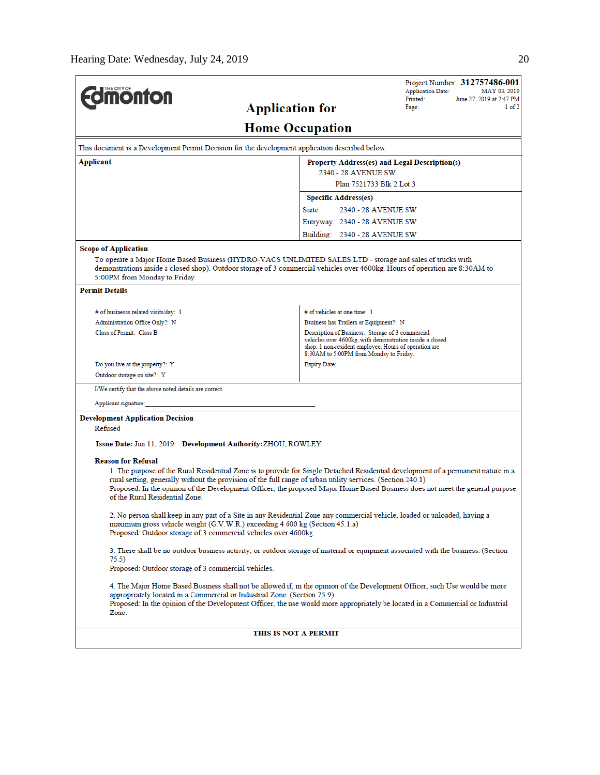| <b><i><u><u><b>M</b>onton</u></u></i></b>                                                                                                                                                                                                                                                                                                                                                                           |                                                                                                 | Project Number: 312757486-001<br><b>Application Date:</b><br>MAY 03, 2019<br>Printed:<br>June 27, 2019 at 2:47 PM |  |  |  |  |  |
|---------------------------------------------------------------------------------------------------------------------------------------------------------------------------------------------------------------------------------------------------------------------------------------------------------------------------------------------------------------------------------------------------------------------|-------------------------------------------------------------------------------------------------|-------------------------------------------------------------------------------------------------------------------|--|--|--|--|--|
| <b>Application for</b>                                                                                                                                                                                                                                                                                                                                                                                              | Page:<br>1 of 2                                                                                 |                                                                                                                   |  |  |  |  |  |
|                                                                                                                                                                                                                                                                                                                                                                                                                     | <b>Home Occupation</b>                                                                          |                                                                                                                   |  |  |  |  |  |
|                                                                                                                                                                                                                                                                                                                                                                                                                     | This document is a Development Permit Decision for the development application described below. |                                                                                                                   |  |  |  |  |  |
| Applicant<br>Property Address(es) and Legal Description(s)<br>2340 - 28 AVENUE SW                                                                                                                                                                                                                                                                                                                                   |                                                                                                 |                                                                                                                   |  |  |  |  |  |
|                                                                                                                                                                                                                                                                                                                                                                                                                     | Plan 7521733 Blk 2 Lot 3                                                                        |                                                                                                                   |  |  |  |  |  |
|                                                                                                                                                                                                                                                                                                                                                                                                                     | <b>Specific Address(es)</b>                                                                     |                                                                                                                   |  |  |  |  |  |
|                                                                                                                                                                                                                                                                                                                                                                                                                     | Suite:<br>2340 - 28 AVENUE SW                                                                   |                                                                                                                   |  |  |  |  |  |
|                                                                                                                                                                                                                                                                                                                                                                                                                     | Entryway: 2340 - 28 AVENUE SW                                                                   |                                                                                                                   |  |  |  |  |  |
|                                                                                                                                                                                                                                                                                                                                                                                                                     | Building: 2340 - 28 AVENUE SW                                                                   |                                                                                                                   |  |  |  |  |  |
| Scope of Application                                                                                                                                                                                                                                                                                                                                                                                                |                                                                                                 |                                                                                                                   |  |  |  |  |  |
| To operate a Major Home Based Business (HYDRO-VACS UNLIMITED SALES LTD - storage and sales of trucks with<br>demonstrations inside a closed shop). Outdoor storage of 3 commercial vehicles over 4600kg. Hours of operation are 8:30AM to<br>5:00PM from Monday to Friday.                                                                                                                                          |                                                                                                 |                                                                                                                   |  |  |  |  |  |
| <b>Permit Details</b>                                                                                                                                                                                                                                                                                                                                                                                               |                                                                                                 |                                                                                                                   |  |  |  |  |  |
| # of businesss related visits/day: 1                                                                                                                                                                                                                                                                                                                                                                                | # of vehicles at one time: 1                                                                    |                                                                                                                   |  |  |  |  |  |
| Administration Office Only?: N                                                                                                                                                                                                                                                                                                                                                                                      | Business has Trailers or Equipment?: N                                                          |                                                                                                                   |  |  |  |  |  |
| Class of Permit: Class B<br>Description of Business: Storage of 3 commercial<br>8:30AM to 5:00PM from Monday to Friday.                                                                                                                                                                                                                                                                                             |                                                                                                 | vehicles over 4600kg, with demonstration inside a closed<br>shop. 1 non-resident employee. Hours of operation are |  |  |  |  |  |
| Do you live at the property?: Y                                                                                                                                                                                                                                                                                                                                                                                     | <b>Expiry Date:</b>                                                                             |                                                                                                                   |  |  |  |  |  |
| Outdoor storage on site?: Y                                                                                                                                                                                                                                                                                                                                                                                         |                                                                                                 |                                                                                                                   |  |  |  |  |  |
| I/We certify that the above noted details are correct.                                                                                                                                                                                                                                                                                                                                                              |                                                                                                 |                                                                                                                   |  |  |  |  |  |
| Applicant signature:                                                                                                                                                                                                                                                                                                                                                                                                |                                                                                                 |                                                                                                                   |  |  |  |  |  |
| <b>Development Application Decision</b><br>Refused                                                                                                                                                                                                                                                                                                                                                                  |                                                                                                 |                                                                                                                   |  |  |  |  |  |
| Issue Date: Jun 11, 2019 Development Authority: ZHOU, ROWLEY                                                                                                                                                                                                                                                                                                                                                        |                                                                                                 |                                                                                                                   |  |  |  |  |  |
| <b>Reason for Refusal</b>                                                                                                                                                                                                                                                                                                                                                                                           |                                                                                                 |                                                                                                                   |  |  |  |  |  |
| 1. The purpose of the Rural Residential Zone is to provide for Single Detached Residential development of a permanent nature in a<br>rural setting, generally without the provision of the full range of urban utility services. (Section 240.1)<br>Proposed: In the opinion of the Development Officer, the proposed Major Home Based Business does not meet the general purpose<br>of the Rural Residential Zone. |                                                                                                 |                                                                                                                   |  |  |  |  |  |
| 2. No person shall keep in any part of a Site in any Residential Zone any commercial vehicle, loaded or unloaded, having a<br>maximum gross vehicle weight (G.V.W.R.) exceeding 4 600 kg (Section 45.1.a)<br>Proposed: Outdoor storage of 3 commercial vehicles over 4600kg.                                                                                                                                        |                                                                                                 |                                                                                                                   |  |  |  |  |  |
| 3. There shall be no outdoor business activity, or outdoor storage of material or equipment associated with the business. (Section<br>75.5)                                                                                                                                                                                                                                                                         |                                                                                                 |                                                                                                                   |  |  |  |  |  |
|                                                                                                                                                                                                                                                                                                                                                                                                                     | Proposed: Outdoor storage of 3 commercial vehicles.                                             |                                                                                                                   |  |  |  |  |  |
| 4. The Major Home Based Business shall not be allowed if, in the opinion of the Development Officer, such Use would be more<br>appropriately located in a Commercial or Industrial Zone. (Section 75.9)<br>Proposed: In the opinion of the Development Officer, the use would more appropriately be located in a Commercial or Industrial<br>Zone.                                                                  |                                                                                                 |                                                                                                                   |  |  |  |  |  |
| THIS IS NOT A PERMIT                                                                                                                                                                                                                                                                                                                                                                                                |                                                                                                 |                                                                                                                   |  |  |  |  |  |
|                                                                                                                                                                                                                                                                                                                                                                                                                     |                                                                                                 |                                                                                                                   |  |  |  |  |  |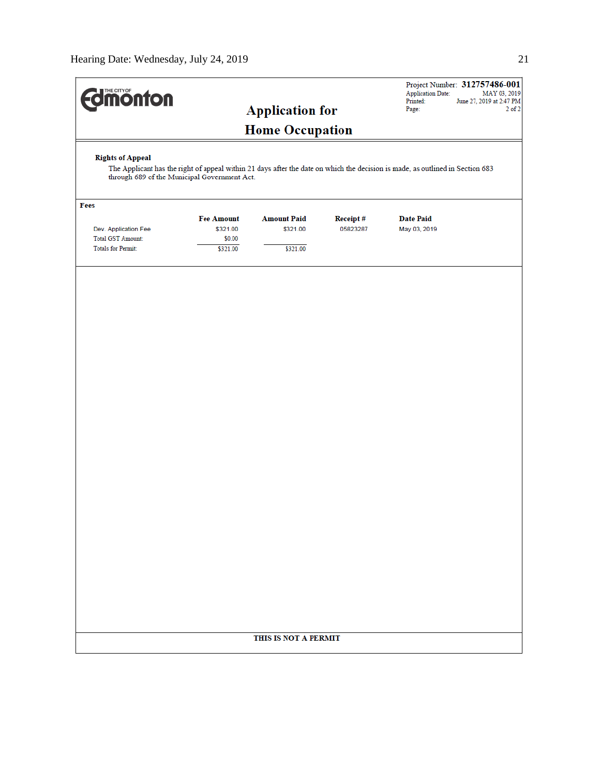| <b>dimonton</b>           |                                                                                                                                                                               |                        |          | <b>Application Date:</b><br>Printed: | Project Number: 312757486-001<br>MAY 03, 2019<br>June 27, 2019 at 2:47 PM |  |
|---------------------------|-------------------------------------------------------------------------------------------------------------------------------------------------------------------------------|------------------------|----------|--------------------------------------|---------------------------------------------------------------------------|--|
|                           |                                                                                                                                                                               | <b>Application for</b> |          | Page:                                | $2$ of $2$                                                                |  |
|                           |                                                                                                                                                                               | <b>Home Occupation</b> |          |                                      |                                                                           |  |
| <b>Rights of Appeal</b>   |                                                                                                                                                                               |                        |          |                                      |                                                                           |  |
|                           | The Applicant has the right of appeal within 21 days after the date on which the decision is made, as outlined in Section 683<br>through 689 of the Municipal Government Act. |                        |          |                                      |                                                                           |  |
| Fees                      |                                                                                                                                                                               |                        |          |                                      |                                                                           |  |
|                           | <b>Fee Amount</b>                                                                                                                                                             | <b>Amount Paid</b>     | Receipt# | <b>Date Paid</b>                     |                                                                           |  |
| Dev. Application Fee      | \$321.00                                                                                                                                                                      | \$321.00               | 05823287 | May 03, 2019                         |                                                                           |  |
| Total GST Amount:         | \$0.00                                                                                                                                                                        |                        |          |                                      |                                                                           |  |
| <b>Totals for Permit:</b> | \$321.00                                                                                                                                                                      | \$321.00               |          |                                      |                                                                           |  |
|                           |                                                                                                                                                                               |                        |          |                                      |                                                                           |  |
|                           |                                                                                                                                                                               |                        |          |                                      |                                                                           |  |
|                           |                                                                                                                                                                               |                        |          |                                      |                                                                           |  |
|                           |                                                                                                                                                                               |                        |          |                                      |                                                                           |  |
|                           |                                                                                                                                                                               |                        |          |                                      |                                                                           |  |
|                           |                                                                                                                                                                               |                        |          |                                      |                                                                           |  |
|                           |                                                                                                                                                                               |                        |          |                                      |                                                                           |  |
|                           |                                                                                                                                                                               |                        |          |                                      |                                                                           |  |
|                           |                                                                                                                                                                               |                        |          |                                      |                                                                           |  |
|                           |                                                                                                                                                                               |                        |          |                                      |                                                                           |  |
|                           |                                                                                                                                                                               |                        |          |                                      |                                                                           |  |
|                           |                                                                                                                                                                               |                        |          |                                      |                                                                           |  |
|                           |                                                                                                                                                                               |                        |          |                                      |                                                                           |  |
|                           |                                                                                                                                                                               |                        |          |                                      |                                                                           |  |
|                           |                                                                                                                                                                               |                        |          |                                      |                                                                           |  |
|                           |                                                                                                                                                                               |                        |          |                                      |                                                                           |  |
|                           |                                                                                                                                                                               |                        |          |                                      |                                                                           |  |
|                           |                                                                                                                                                                               |                        |          |                                      |                                                                           |  |
|                           |                                                                                                                                                                               |                        |          |                                      |                                                                           |  |
|                           |                                                                                                                                                                               |                        |          |                                      |                                                                           |  |
|                           |                                                                                                                                                                               |                        |          |                                      |                                                                           |  |
|                           |                                                                                                                                                                               |                        |          |                                      |                                                                           |  |
|                           |                                                                                                                                                                               |                        |          |                                      |                                                                           |  |
|                           |                                                                                                                                                                               |                        |          |                                      |                                                                           |  |
|                           |                                                                                                                                                                               |                        |          |                                      |                                                                           |  |
|                           |                                                                                                                                                                               |                        |          |                                      |                                                                           |  |
|                           |                                                                                                                                                                               | THIS IS NOT A PERMIT   |          |                                      |                                                                           |  |
|                           |                                                                                                                                                                               |                        |          |                                      |                                                                           |  |